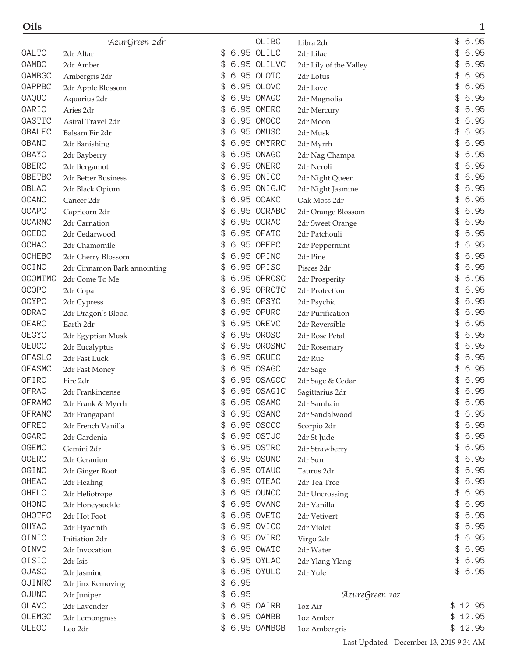| Oils          |                              |    |      |             |                        | 1           |
|---------------|------------------------------|----|------|-------------|------------------------|-------------|
|               | AzurGreen 2dr                |    |      | OLIBC       | Libra 2dr              | 6.95<br>\$  |
| OALTC         | 2dr Altar                    | \$ |      | 6.95 OLILC  | 2dr Lilac              | 6.95<br>\$  |
| OAMBC         | 2dr Amber                    | \$ |      | 6.95 OLILVC | 2dr Lily of the Valley | 6.95        |
| OAMBGC        | Ambergris 2dr                | \$ |      | 6.95 OLOTC  | 2dr Lotus              | 6.95        |
| <b>OAPPBC</b> | 2dr Apple Blossom            | \$ |      | 6.95 OLOVC  | 2dr Love               | 6.95        |
| <b>OAQUC</b>  | Aquarius 2dr                 |    |      | 6.95 OMAGC  | 2dr Magnolia           | 6.95<br>\$  |
| OARIC         | Aries 2dr                    | \$ |      | 6.95 OMERC  | 2dr Mercury            | 6.95        |
| <b>OASTTC</b> | Astral Travel 2dr            | \$ |      | 6.95 OMOOC  | 2dr Moon               | 6.95<br>\$  |
| <b>OBALFC</b> | Balsam Fir 2dr               | \$ |      | 6.95 OMUSC  | 2dr Musk               | 6.95<br>\$  |
| <b>OBANC</b>  | 2dr Banishing                | \$ |      | 6.95 OMYRRC | 2dr Myrrh              | 6.95<br>\$  |
| OBAYC         | 2dr Bayberry                 | \$ |      | 6.95 ONAGC  | 2dr Nag Champa         | 6.95<br>\$  |
| OBERC         | 2dr Bergamot                 |    |      | 6.95 ONERC  | 2dr Neroli             | 6.95        |
| OBETBC        | 2dr Better Business          | \$ |      | 6.95 ONIGC  | 2dr Night Queen        | 6.95<br>\$  |
| OBLAC         | 2dr Black Opium              |    |      | 6.95 ONIGJC | 2dr Night Jasmine      | 6.95        |
| <b>OCANC</b>  | Cancer 2dr                   | \$ |      | 6.95 OOAKC  | Oak Moss 2dr           | 6.95<br>\$  |
| <b>OCAPC</b>  | Capricorn 2dr                | \$ |      | 6.95 OORABC | 2dr Orange Blossom     | 6.95        |
| <b>OCARNC</b> | 2dr Carnation                | \$ |      | 6.95 OORAC  | 2dr Sweet Orange       | 6.95<br>\$  |
| OCEDC         | 2dr Cedarwood                |    |      | 6.95 OPATC  | 2dr Patchouli          | 6.95        |
| <b>OCHAC</b>  | 2dr Chamomile                | \$ |      | 6.95 OPEPC  | 2dr Peppermint         | 6.95<br>\$  |
| <b>OCHEBC</b> | 2dr Cherry Blossom           |    |      | 6.95 OPINC  | 2dr Pine               | 6.95        |
| OCINC         | 2dr Cinnamon Bark annointing |    |      | 6.95 OPISC  | Pisces 2dr             | 6.95<br>\$  |
| OCOMTMC       | 2dr Come To Me               |    |      | 6.95 OPROSC | 2dr Prosperity         | 6.95        |
| <b>OCOPC</b>  | 2dr Copal                    | \$ |      | 6.95 OPROTC | 2dr Protection         | 6.95<br>\$  |
| <b>OCYPC</b>  | 2dr Cypress                  | \$ |      | 6.95 OPSYC  | 2dr Psychic            | 6.95<br>\$  |
| ODRAC         | 2dr Dragon's Blood           | \$ |      | 6.95 OPURC  | 2dr Purification       | 6.95<br>\$  |
| <b>OEARC</b>  | Earth 2dr                    | \$ |      | 6.95 OREVC  | 2dr Reversible         | 6.95<br>\$  |
| OEGYC         | 2dr Egyptian Musk            |    |      | 6.95 OROSC  | 2dr Rose Petal         | 6.95        |
| <b>OEUCC</b>  | 2dr Eucalyptus               | S  |      | 6.95 OROSMC | 2dr Rosemary           | 6.95        |
| OFASLC        | 2dr Fast Luck                |    |      | 6.95 ORUEC  | 2dr Rue                | 6.95        |
| <b>OFASMC</b> | 2dr Fast Money               | \$ |      | 6.95 OSAGC  | 2dr Sage               | 6.95<br>\$  |
| OF IRC        | Fire 2dr                     |    |      | 6.95 OSAGCC | 2dr Sage & Cedar       | 6.95        |
| <b>OFRAC</b>  | 2dr Frankincense             | \$ |      | 6.95 OSAGIC | Sagittarius 2dr        | \$<br>6.95  |
| <b>OFRAMC</b> | 2dr Frank & Myrrh            |    |      | 6.95 OSAMC  | 2dr Samhain            | \$<br>6.95  |
| <b>OFRANC</b> | 2dr Frangapani               | \$ |      | 6.95 OSANC  | 2dr Sandalwood         | 6.95<br>\$  |
| <b>OFREC</b>  | 2dr French Vanilla           | \$ |      | 6.95 OSCOC  | Scorpio 2dr            | 6.95<br>\$  |
| <b>OGARC</b>  | 2dr Gardenia                 | \$ |      | 6.95 OSTJC  | 2dr St Jude            | 6.95<br>\$  |
| <b>OGEMC</b>  | Gemini 2dr                   | \$ |      | 6.95 OSTRC  | 2dr Strawberry         | 6.95<br>\$  |
| <b>OGERC</b>  | 2dr Geranium                 | \$ |      | 6.95 OSUNC  | 2dr Sun                | 6.95<br>\$  |
| OGINC         | 2dr Ginger Root              | \$ |      | 6.95 OTAUC  | Taurus 2dr             | 6.95<br>\$  |
| OHEAC         | 2dr Healing                  | \$ |      | 6.95 OTEAC  | 2dr Tea Tree           | 6.95<br>\$  |
| OHELC         | 2dr Heliotrope               | \$ |      | 6.95 OUNCC  | 2dr Uncrossing         | 6.95<br>\$  |
| OHONC         | 2dr Honeysuckle              | \$ |      | 6.95 OVANC  | 2dr Vanilla            | 6.95<br>\$  |
| OHOTFC        | 2dr Hot Foot                 | \$ |      | 6.95 OVETC  | 2dr Vetivert           | 6.95<br>\$  |
| OHYAC         | 2dr Hyacinth                 | \$ |      | 6.95 OVIOC  | 2dr Violet             | 6.95<br>\$  |
| OINIC         | Initiation 2dr               | \$ |      | 6.95 OVIRC  | Virgo 2dr              | 6.95<br>\$  |
| OINVC         | 2dr Invocation               | \$ |      | 6.95 OWATC  | 2dr Water              | 6.95<br>\$  |
| OISIC         | 2dr Isis                     | \$ |      | 6.95 OYLAC  | 2dr Ylang Ylang        | 6.95<br>\$  |
| <b>OJASC</b>  | 2dr Jasmine                  | \$ |      | 6.95 OYULC  | 2dr Yule               | 6.95<br>\$  |
| OJINRC        | 2dr Jinx Removing            | \$ | 6.95 |             |                        |             |
| <b>OJUNC</b>  | 2dr Juniper                  | \$ | 6.95 |             | AzureGreen 10z         |             |
| OLAVC         | 2dr Lavender                 | \$ |      | 6.95 OAIRB  | 1oz Air                | 12.95<br>\$ |
| OLEMGC        | 2dr Lemongrass               | \$ |      | 6.95 OAMBB  | 1oz Amber              | 12.95<br>\$ |
| OLEOC         | Leo 2dr                      | \$ |      | 6.95 OAMBGB | 1oz Ambergris          | 12.95<br>\$ |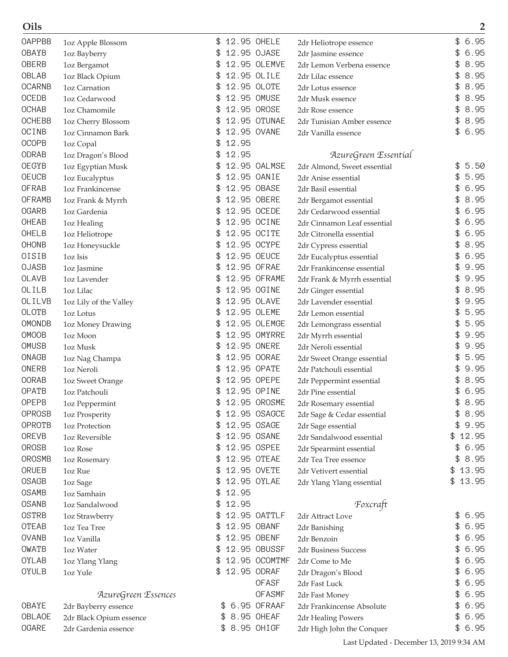| <b>OAPPBB</b> | 1oz Apple Blossom       |             | 12.95 OHELE   | 2dr Heliotrope essence                      | \$<br>6.95  |
|---------------|-------------------------|-------------|---------------|---------------------------------------------|-------------|
| OBAYB         | 1oz Bayberry            |             | 12.95 OJASE   | 2dr Jasmine essence                         | 6.95        |
| <b>OBERB</b>  | 1oz Bergamot            | \$          | 12.95 OLEMVE  | 2dr Lemon Verbena essence                   | 8.95        |
| OBLAB         | 1oz Black Opium         | \$          | 12.95 OLILE   | 2dr Lilac essence                           | 8.95<br>\$  |
| <b>OCARNB</b> | 1oz Carnation           | \$          | 12.95 OLOTE   | 2dr Lotus essence                           | 8.95        |
| <b>OCEDB</b>  | 1oz Cedarwood           | \$          | 12.95 OMUSE   | 2dr Musk essence                            | 8.95<br>\$  |
| <b>OCHAB</b>  | 1oz Chamomile           |             | 12.95 OROSE   | 2dr Rose essence                            | 8.95        |
| <b>OCHEBB</b> | 1oz Cherry Blossom      |             | 12.95 OTUNAE  | 2dr Tunisian Amber essence                  | 8.95<br>\$  |
| OCINB         | 1oz Cinnamon Bark       |             | 12.95 OVANE   | 2dr Vanilla essence                         | 6.95<br>\$  |
| <b>OCOPB</b>  | 1oz Copal               | 12.95<br>\$ |               |                                             |             |
| ODRAB         | 1oz Dragon's Blood      | 12.95<br>\$ |               | AzureGreen Essential                        |             |
| <b>OEGYB</b>  | 1oz Egyptian Musk       |             | 12.95 OALMSE  | 2dr Almond, Sweet essential                 | 5.50<br>\$  |
| <b>OEUCB</b>  | 1oz Eucalyptus          |             | 12.95 OANIE   | 2dr Anise essential                         | 5.95        |
| <b>OFRAB</b>  | 1oz Frankincense        | \$          | 12.95 OBASE   | 2dr Basil essential                         | 6.95<br>\$  |
| <b>OFRAMB</b> | 1oz Frank & Myrrh       |             | 12.95 OBERE   | 2dr Bergamot essential                      | 8.95        |
| <b>OGARB</b>  | 1oz Gardenia            |             | 12.95 OCEDE   | 2dr Cedarwood essential                     | 6.95        |
| OHEAB         | 1oz Healing             |             | 12.95 OCINE   | 2dr Cinnamon Leaf essential                 | 6.95        |
| OHELB         | 1oz Heliotrope          | \$          | 12.95 OCITE   | 2dr Citronella essential                    | 6.95        |
| <b>OHONB</b>  | 1oz Honeysuckle         | \$          | 12.95 OCYPE   | 2dr Cypress essential                       | 8.95<br>\$  |
| OISIB         | 1oz Isis                | \$          | 12.95 OEUCE   | 2dr Eucalyptus essential                    | 6.95        |
| <b>OJASB</b>  | 1oz Jasmine             |             | 12.95 OFRAE   | 2dr Frankincense essential                  | 9.95        |
| <b>OLAVB</b>  | 1oz Lavender            |             | 12.95 OFRAME  | 2dr Frank & Myrrh essential                 | 9.95        |
| OLILB         | 1oz Lilac               |             | 12.95 OGINE   | 2dr Ginger essential                        | 8.95        |
| OLILVB        | 1oz Lily of the Valley  |             | 12.95 OLAVE   | 2dr Lavender essential                      | 9.95        |
| OLOTB         | 1oz Lotus               | \$          | 12.95 OLEME   | 2dr Lemon essential                         | 5.95        |
| <b>OMONDB</b> | 1oz Money Drawing       | \$          | 12.95 OLEMGE  | 2dr Lemongrass essential                    | 5.95        |
| <b>OMOOB</b>  | 1oz Moon                |             | 12.95 OMYRRE  | 2dr Myrrh essential                         | 9.95<br>\$  |
| OMUSB         | 1oz Musk                |             | 12.95 ONERE   | 2dr Neroli essential                        | 9.95        |
| <b>ONAGB</b>  | 1oz Nag Champa          |             | 12.95 OORAE   | 2dr Sweet Orange essential                  | 5.95        |
| ONERB         | 1oz Neroli              |             | 12.95 OPATE   | 2dr Patchouli essential                     | 9.95        |
| <b>OORAB</b>  | 1oz Sweet Orange        |             | 12.95 OPEPE   | 2dr Peppermint essential                    | 8.95        |
| <b>OPATB</b>  | 1oz Patchouli           |             | 12.95 OPINE   | 2dr Pine essential                          | 6.95        |
| <b>OPEPB</b>  | 1oz Peppermint          | \$          | 12.95 OROSME  | 2dr Rosemary essential                      | \$<br>8.95  |
| OPROSB        | 1oz Prosperity          | \$          | 12.95 OSAGCE  | 2dr Sage & Cedar essential                  | \$<br>8.95  |
| <b>OPROTB</b> | 1oz Protection          | £.          | 12.95 OSAGE   | 2dr Sage essential                          | 9.95        |
| OREVB         | 1oz Reversible          | £.          | 12.95 OSANE   | 2dr Sandalwood essential                    | 12.95<br>\$ |
| OROSB         | 1oz Rose                | \$          | 12.95 OSPEE   | 2dr Spearmint essential                     | \$<br>6.95  |
| OROSMB        | 1oz Rosemary            | \$          | 12.95 OTEAE   | 2dr Tea Tree essence                        | 8.95<br>\$  |
| ORUEB         | 1oz Rue                 | \$          | 12.95 OVETE   | 2dr Vetivert essential                      | 13.95<br>\$ |
| <b>OSAGB</b>  | 1oz Sage                |             | 12.95 OYLAE   | 2dr Ylang Ylang essential                   | 13.95<br>\$ |
| <b>OSAMB</b>  | 1oz Samhain             | 12.95<br>\$ |               |                                             |             |
| <b>OSANB</b>  | 1oz Sandalwood          | 12.95<br>\$ |               | Foxcraft                                    |             |
| <b>OSTRB</b>  | 1oz Strawberry          |             | 12.95 OATTLF  | 2dr Attract Love                            | \$<br>6.95  |
| OTEAB         | 1oz Tea Tree            | £.          | 12.95 OBANF   | 2dr Banishing                               | \$<br>6.95  |
| <b>OVANB</b>  | 1oz Vanilla             | \$          | 12.95 OBENF   | 2dr Benzoin                                 | \$<br>6.95  |
| OWATB         | 1oz Water               | \$          | 12.95 OBUSSF  | 2dr Business Success                        | 6.95<br>\$  |
| OYLAB         |                         |             | 12.95 OCOMTMF | 2dr Come to Me                              | 6.95        |
| OYULB         | 1oz Ylang Ylang         | \$.         | 12.95 ODRAF   |                                             | \$<br>6.95  |
|               | 1oz Yule                |             | <b>OFASF</b>  | 2dr Dragon's Blood<br>2dr Fast Luck         | 6.95<br>\$  |
|               | AzureGreen Essences     |             | <b>OFASMF</b> |                                             | 6.95        |
| OBAYE         |                         | \$          | 6.95 OFRAAF   | 2dr Fast Money<br>2dr Frankincense Absolute | 6.95<br>\$  |
| OBLAOE        | 2dr Bayberry essence    | \$          | 8.95 OHEAF    |                                             | \$<br>6.95  |
| <b>OGARE</b>  | 2dr Black Opium essence |             | 8.95 OHIGF    | 2dr Healing Powers                          | \$<br>6.95  |
|               | 2dr Gardenia essence    |             |               | 2dr High John the Conquer                   |             |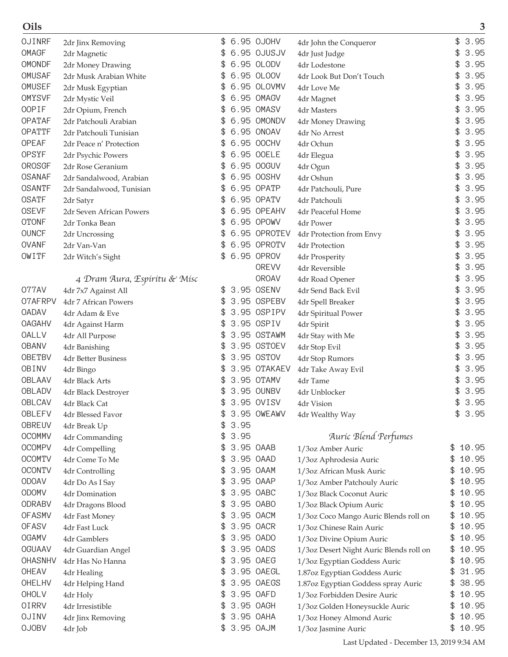| Oils          |                              |    |      |              |                                         |             | 3    |
|---------------|------------------------------|----|------|--------------|-----------------------------------------|-------------|------|
| OJINRF        | 2dr Jinx Removing            | \$ |      | 6.95 OJOHV   | 4dr John the Conqueror                  | \$          | 3.95 |
| OMAGF         | 2dr Magnetic                 | \$ |      | 6.95 OJUSJV  | 4dr Just Judge                          | \$          | 3.95 |
| OMONDF        | 2dr Money Drawing            | \$ |      | 6.95 OLODV   | 4dr Lodestone                           | \$          | 3.95 |
| OMUSAF        | 2dr Musk Arabian White       | \$ |      | 6.95 OLOOV   | 4dr Look But Don't Touch                | \$          | 3.95 |
| OMUSEF        | 2dr Musk Egyptian            |    |      | 6.95 OLOVMV  | 4dr Love Me                             | \$          | 3.95 |
| <b>OMYSVF</b> | 2dr Mystic Veil              | \$ |      | 6.95 OMAGV   | 4dr Magnet                              | \$          | 3.95 |
| <b>OOPIF</b>  | 2dr Opium, French            | \$ |      | 6.95 OMASV   | 4dr Masters                             | \$          | 3.95 |
| OPATAF        | 2dr Patchouli Arabian        | \$ |      | 6.95 OMONDV  | 4dr Money Drawing                       | \$          | 3.95 |
| OPATTF        | 2dr Patchouli Tunisian       | \$ |      | 6.95 ONOAV   | 4dr No Arrest                           | \$          | 3.95 |
| OPEAF         | 2dr Peace n' Protection      | \$ |      | 6.95 OOCHV   | 4dr Ochun                               | \$          | 3.95 |
| OPSYF         | 2dr Psychic Powers           | \$ |      | 6.95 OOELE   | 4dr Elegua                              | \$          | 3.95 |
| OROSGF        | 2dr Rose Geranium            | \$ |      | 6.95 00GUV   | 4dr Ogun                                | \$          | 3.95 |
| <b>OSANAF</b> | 2dr Sandalwood, Arabian      | \$ |      | 6.95 OOSHV   | 4dr Oshun                               | \$          | 3.95 |
| <b>OSANTF</b> | 2dr Sandalwood, Tunisian     |    |      | 6.95 OPATP   | 4dr Patchouli, Pure                     | \$          | 3.95 |
| <b>OSATF</b>  | 2dr Satyr                    | \$ |      | 6.95 OPATV   | 4dr Patchouli                           | \$          | 3.95 |
| <b>OSEVF</b>  | 2dr Seven African Powers     | \$ |      | 6.95 OPEAHV  | 4dr Peaceful Home                       | \$          | 3.95 |
| <b>OTONF</b>  | 2dr Tonka Bean               | \$ |      | 6.95 OPOWV   | 4dr Power                               | \$          | 3.95 |
| <b>OUNCF</b>  | 2dr Uncrossing               | \$ |      | 6.95 OPROTEV | 4dr Protection from Envy                | \$          | 3.95 |
| <b>OVANF</b>  | 2dr Van-Van                  | \$ |      | 6.95 OPROTV  | 4dr Protection                          | \$          | 3.95 |
| OWITF         | 2dr Witch's Sight            |    |      | 6.95 OPROV   | 4dr Prosperity                          | \$          | 3.95 |
|               |                              |    |      | <b>OREVV</b> | 4dr Reversible                          | \$          | 3.95 |
|               | 4 Dram Aura, Espíritu & Misc |    |      | <b>OROAV</b> | 4dr Road Opener                         | \$          | 3.95 |
| 077AV         | 4dr 7x7 Against All          | \$ |      | 3.95 OSENV   | 4dr Send Back Evil                      | \$          | 3.95 |
| 07AFRPV       | 4dr 7 African Powers         | \$ |      | 3.95 OSPEBV  | 4dr Spell Breaker                       | \$          | 3.95 |
| <b>OADAV</b>  | 4dr Adam & Eve               | \$ |      | 3.95 OSPIPV  | 4dr Spiritual Power                     | \$          | 3.95 |
| <b>OAGAHV</b> | 4dr Against Harm             | \$ |      | 3.95 OSPIV   | 4dr Spirit                              | \$          | 3.95 |
| OALLV         | 4dr All Purpose              | \$ |      | 3.95 OSTAWM  | 4dr Stay with Me                        | \$          | 3.95 |
| <b>OBANV</b>  | 4dr Banishing                | \$ |      | 3.95 OSTOEV  | 4dr Stop Evil                           | \$          | 3.95 |
| <b>OBETBV</b> | 4dr Better Business          | \$ |      | 3.95 OSTOV   | 4dr Stop Rumors                         |             | 3.95 |
| OBINV         | 4dr Bingo                    | \$ |      | 3.95 OTAKAEV | 4dr Take Away Evil                      | \$          | 3.95 |
| OBLAAV        | 4dr Black Arts               | \$ |      | 3.95 OTAMV   | 4dr Tame                                | \$          | 3.95 |
| OBLADV        | 4dr Black Destroyer          | \$ |      | 3.95 OUNBV   | 4dr Unblocker                           | \$          | 3.95 |
| OBLCAV        | 4dr Black Cat                | \$ |      | 3.95 OVISV   | 4dr Vision                              | \$          | 3.95 |
| <b>OBLEFV</b> | 4dr Blessed Favor            | S  |      | 3.95 OWEAWV  | 4dr Wealthy Way                         | \$          | 3.95 |
| OBREUV        | 4dr Break Up                 | \$ | 3.95 |              |                                         |             |      |
| <b>OCOMMV</b> | 4dr Commanding               | \$ | 3.95 |              | Auric Blend Perfumes                    |             |      |
| <b>OCOMPV</b> | 4dr Compelling               | \$ |      | 3.95 OAAB    | 1/3oz Amber Auric                       | \$<br>10.95 |      |
| <b>OCOMTV</b> | 4dr Come To Me               | \$ |      | 3.95 OAAD    | 1/3oz Aphrodesia Auric                  | \$<br>10.95 |      |
| <b>OCONTV</b> | 4dr Controlling              | \$ |      | 3.95 OAAM    | 1/3oz African Musk Auric                | 10.95       |      |
| ODOAV         | 4dr Do As I Say              | \$ |      | 3.95 OAAP    | 1/3oz Amber Patchouly Auric             | \$<br>10.95 |      |
| ODOMV         | 4dr Domination               | \$ |      | 3.95 OABC    | 1/3oz Black Coconut Auric               | 10.95       |      |
| ODRABV        | 4dr Dragons Blood            | \$ |      | 3.95 OABO    | 1/3oz Black Opium Auric                 | \$<br>10.95 |      |
| <b>OFASMV</b> | 4dr Fast Money               | \$ |      | 3.95 OACM    | 1/3oz Coco Mango Auric Blends roll on   | \$<br>10.95 |      |
| <b>OFASV</b>  | 4dr Fast Luck                | \$ |      | 3.95 OACR    | 1/3oz Chinese Rain Auric                | \$<br>10.95 |      |
| <b>OGAMV</b>  | 4dr Gamblers                 | \$ |      | 3.95 OADO    | 1/3oz Divine Opium Auric                | \$<br>10.95 |      |
| <b>OGUAAV</b> | 4dr Guardian Angel           | \$ |      | 3.95 OADS    | 1/3oz Desert Night Auric Blends roll on | 10.95       |      |
| OHASNHV       | 4dr Has No Hanna             | \$ |      | 3.95 OAEG    | 1/3oz Egyptian Goddess Auric            | \$<br>10.95 |      |
| OHEAV         | 4dr Healing                  | \$ |      | 3.95 OAEGL   | 1.87oz Egyptian Goddess Auric           | \$<br>31.95 |      |
| OHELHV        | 4dr Helping Hand             | S  |      | 3.95 OAEGS   | 1.87oz Egyptian Goddess spray Auric     | \$<br>38.95 |      |
| OHOLV         | 4dr Holy                     | \$ |      | 3.95 OAFD    | 1/3oz Forbidden Desire Auric            | \$<br>10.95 |      |
| <b>OIRRV</b>  | 4dr Irresistible             | \$ |      | 3.95 OAGH    | 1/3oz Golden Honeysuckle Auric          | \$<br>10.95 |      |
| OJINV         | 4dr Jinx Removing            | \$ |      | 3.95 OAHA    | 1/3oz Honey Almond Auric                | 10.95       |      |
| <b>OJOBV</b>  | 4dr Job                      |    |      | \$ 3.95 OAJM | 1/3oz Jasmine Auric                     | \$<br>10.95 |      |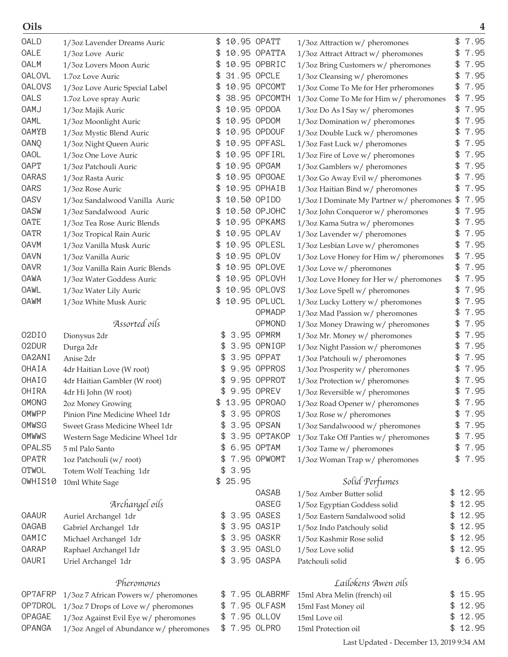| Oils          |                                        |     |         |               |                                           |    | 4       |
|---------------|----------------------------------------|-----|---------|---------------|-------------------------------------------|----|---------|
| OALD          | 1/3oz Lavender Dreams Auric            | \$  |         | 10.95 OPATT   | 1/3oz Attraction w/ pheromones            | \$ | 7.95    |
| <b>OALE</b>   | 1/3oz Love Auric                       | \$  |         | 10.95 OPATTA  | 1/3oz Attract Attract w/ pheromones       | \$ | 7.95    |
| OALM          | 1/3oz Lovers Moon Auric                |     |         | 10.95 OPBRIC  | 1/3oz Bring Customers w/ pheromones       | \$ | 7.95    |
| <b>OALOVL</b> | 1.7oz Love Auric                       | \$  |         | 31.95 OPCLE   | 1/3oz Cleansing w/ pheromones             | \$ | 7.95    |
| <b>OALOVS</b> | 1/3oz Love Auric Special Label         |     |         | 10.95 OPCOMT  | 1/3oz Come To Me for Her prheromones      | \$ | 7.95    |
| OALS          | 1.7oz Love spray Auric                 |     |         | 38.95 OPCOMTH | 1/3oz Come To Me for Him w/ pheromones    | \$ | 7.95    |
| <b>OAMJ</b>   | 1/3oz Majik Auric                      |     |         | 10.95 OPDOA   | 1/3oz Do As I Say w/ pheromones           | \$ | 7.95    |
| <b>OAML</b>   | 1/3oz Moonlight Auric                  | \$  |         | 10.95 OPDOM   | 1/3oz Domination w/ pheromones            | \$ | 7.95    |
| OAMYB         | 1/3oz Mystic Blend Auric               | \$  |         | 10.95 OPDOUF  | 1/3oz Double Luck w/ pheromones           | \$ | 7.95    |
| OANQ          | 1/3oz Night Queen Auric                |     |         | 10.95 OPFASL  | 1/3oz Fast Luck w/ pheromones             | \$ | 7.95    |
| <b>OAOL</b>   | 1/3oz One Love Auric                   |     |         | 10.95 OPFIRL  | 1/3oz Fire of Love w/ pheromones          | \$ | 7.95    |
| <b>OAPT</b>   | 1/3oz Patchouli Auric                  |     |         | 10.95 OPGAM   | 1/3oz Gamblers w/ pheromones              | \$ | 7.95    |
| OARAS         | 1/3oz Rasta Auric                      |     |         | 10.95 OPGOAE  | 1/3oz Go Away Evil w/ pheromones          | \$ | 7.95    |
| OARS          | 1/3oz Rose Auric                       |     |         | 10.95 OPHAIB  | 1/3oz Haitian Bind w/ pheromones          | \$ | 7.95    |
| <b>OASV</b>   | 1/3oz Sandalwood Vanilla Auric         | \$  |         | 10.50 OPIDO   | 1/3oz I Dominate My Partner w/ pheromones | \$ | 7.95    |
| <b>OASW</b>   | 1/3oz Sandalwood Auric                 |     |         | 10.50 OPJOHC  | 1/3oz John Conqueror w/ pheromones        | \$ | 7.95    |
| <b>OATE</b>   | 1/3oz Tea Rose Auric Blends            |     |         | 10.95 OPKAMS  | 1/3oz Kama Sutra w/ pheromones            | \$ | 7.95    |
| <b>OATR</b>   | 1/3oz Tropical Rain Auric              |     |         | 10.95 OPLAV   | 1/3oz Lavender w/ pheromones              | \$ | 7.95    |
| <b>OAVM</b>   | 1/3oz Vanilla Musk Auric               |     |         | 10.95 OPLESL  | 1/3oz Lesbian Love w/ pheromones          | \$ | 7.95    |
| <b>OAVN</b>   | 1/3oz Vanilla Auric                    |     |         | 10.95 OPLOV   | 1/3oz Love Honey for Him w/ pheromones    | \$ | 7.95    |
| <b>OAVR</b>   | 1/3oz Vanilla Rain Auric Blends        |     |         | 10.95 OPLOVE  | 1/3oz Love w/ pheromones                  | \$ | 7.95    |
| OAWA          | 1/3oz Water Goddess Auric              |     |         | 10.95 OPLOVH  | 1/3oz Love Honey for Her w/ pheromones    | \$ | 7.95    |
| OAWL          | 1/3oz Water Lily Auric                 | \$  |         | 10.95 OPLOVS  | 1/3oz Love Spell w/ pheromones            | \$ | 7.95    |
| <b>OAWM</b>   | 1/3oz White Musk Auric                 |     |         | 10.95 OPLUCL  | 1/3oz Lucky Lottery w/ pheromones         | \$ | 7.95    |
|               |                                        |     |         | OPMADP        | 1/3oz Mad Passion w/ pheromones           | \$ | 7.95    |
|               | Assorted oils                          |     |         | OPMOND        | 1/3oz Money Drawing w/ pheromones         | \$ | 7.95    |
| 02DIO         | Dionysus 2dr                           | \$  |         | 3.95 OPMRM    | 1/3oz Mr. Money w/ pheromones             | \$ | 7.95    |
| 02DUR         | Durga 2dr                              |     |         | 3.95 OPNIGP   | 1/3oz Night Passion w/ pheromones         | \$ | 7.95    |
| OA2ANI        | Anise 2dr                              |     |         | 3.95 OPPAT    | 1/3oz Patchouli w/ pheromones             |    | 7.95    |
| OHAIA         | 4dr Haitian Love (W root)              | \$  |         | 9.95 OPPROS   | 1/3oz Prosperity w/ pheromones            | \$ | 7.95    |
| OHAIG         | 4dr Haitian Gambler (W root)           |     |         | 9.95 OPPROT   | 1/3oz Protection w/ pheromones            | \$ | 7.95    |
| OHIRA         | 4dr Hi John (W root)                   | \$  |         | 9.95 OPREV    | $1/3$ oz Reversible w/ pheromones         | \$ | 7.95    |
| <b>OMONG</b>  | 2oz Money Growing                      |     |         | 13.95 OPROAO  | 1/3oz Road Opener w/ pheromones           | \$ | 7.95    |
| OMWPP         | Pinion Pine Medicine Wheel 1dr         | \$. |         | 3.95 OPROS    | 1/3oz Rose w/ pheromones                  | \$ | 7.95    |
| OMWSG         | Sweet Grass Medicine Wheel 1dr         | \$  |         | 3.95 OPSAN    | 1/3oz Sandalwoood w/ pheromones           | \$ | 7.95    |
| OMWWS         | Western Sage Medicine Wheel 1dr        | \$  |         | 3.95 OPTAKOP  | 1/3oz Take Off Panties w/ pheromones      | \$ | 7.95    |
| OPALS5        | 5 ml Palo Santo                        | \$  |         | 6.95 OPTAM    | 1/3oz Tame w/ pheromones                  | \$ | 7.95    |
| <b>OPATR</b>  | 1oz Patchouli (w/root)                 | \$  |         | 7.95 OPWOMT   | 1/3oz Woman Trap w/ pheromones            | \$ | 7.95    |
| OTWOL         | Totem Wolf Teaching 1dr                |     | \$3.95  |               |                                           |    |         |
| OWHIS10       | 10ml White Sage                        |     | \$25.95 |               | Solid Perfumes                            |    |         |
|               |                                        |     |         | OASAB         | 1/5oz Amber Butter solid                  |    | \$12.95 |
|               | Archangel oils                         |     |         | OASEG         | 1/5oz Egyptian Goddess solid              | \$ | 12.95   |
| <b>OAAUR</b>  | Auriel Archangel 1dr                   | \$  |         | 3.95 OASES    | 1/5oz Eastern Sandalwood solid            | \$ | 12.95   |
| <b>OAGAB</b>  | Gabriel Archangel 1dr                  | \$  |         | 3.95 OASIP    | 1/5oz Indo Patchouly solid                | \$ | 12.95   |
| OAMIC         | Michael Archangel 1dr                  | \$. |         | 3.95 OASKR    | 1/5oz Kashmir Rose solid                  | \$ | 12.95   |
| <b>OARAP</b>  | Raphael Archangel 1dr                  | \$  |         | 3.95 OASLO    | 1/5oz Love solid                          | \$ | 12.95   |
| <b>OAURI</b>  | Uriel Archangel 1dr                    |     |         | \$ 3.95 OASPA | Patchouli solid                           |    | \$6.95  |
|               | Pheromones                             |     |         |               | Lailokens Awen oils                       |    |         |
| OP7AFRP       | 1/3oz 7 African Powers w/ pheromones   | \$  |         | 7.95 OLABRMF  | 15ml Abra Melin (french) oil              |    | \$15.95 |
| OP7DROL       | 1/3oz 7 Drops of Love w/ pheromones    |     |         | \$7.95 OLFASM | 15ml Fast Money oil                       | \$ | 12.95   |
| <b>OPAGAE</b> | 1/3oz Against Evil Eye w/ pheromones   |     |         | \$7.95 OLLOV  | 15ml Love oil                             | \$ | 12.95   |
| <b>OPANGA</b> | 1/3oz Angel of Abundance w/ pheromones |     |         | \$7.95 OLPRO  | 15ml Protection oil                       | \$ | 12.95   |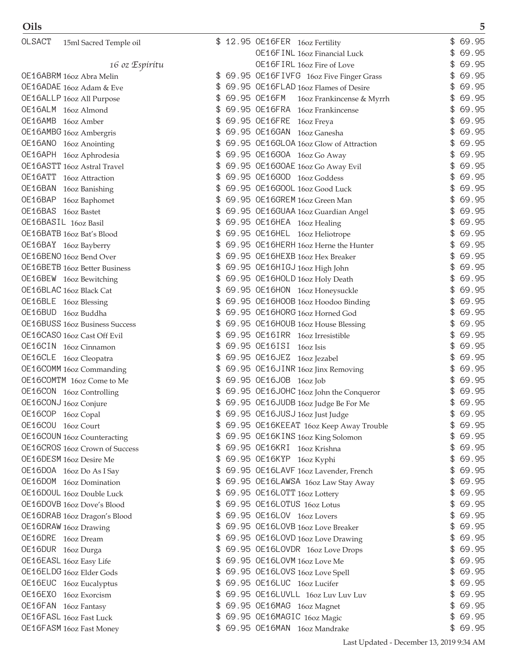| OLSACT  | 15ml Sacred Temple oil                       |    | 12.95 OE16FER 16oz Fertility              | \$<br>69.95 |
|---------|----------------------------------------------|----|-------------------------------------------|-------------|
|         |                                              |    | OE16F INL 160z Financial Luck             | \$<br>69.95 |
|         | 16 oz Espírítu                               |    | OE16FIRL 16oz Fire of Love                | \$<br>69.95 |
|         | OE16ABRM 16oz Abra Melin                     | \$ | 69.95 OE16FIVFG 16oz Five Finger Grass    | \$<br>69.95 |
|         | OE16ADAE 16oz Adam & Eve                     |    | 69.95 OE16FLAD 16oz Flames of Desire      | \$<br>69.95 |
|         | OE16ALLP 16oz All Purpose                    |    | 69.95 OE16FM<br>160z Frankincense & Myrrh | \$<br>69.95 |
|         | OE16ALM 16oz Almond                          |    | 69.95 OE16FRA 16oz Frankincense           | \$<br>69.95 |
|         | OE16AMB 16oz Amber                           |    | 69.95 OE16FRE 16oz Freya                  | \$<br>69.95 |
|         | OE16AMBG 16oz Ambergris                      |    | 69.95 OE16GAN 16oz Ganesha                | \$<br>69.95 |
|         | OE16ANO 16oz Anointing                       |    | 69.95 OE16GLOA 16oz Glow of Attraction    | \$<br>69.95 |
|         | OE16APH 16oz Aphrodesia                      | \$ | 69.95 OE16GOA 16oz Go Away                | \$<br>69.95 |
|         | OE16ASTT 16oz Astral Travel                  |    | 69.95 OE16GOAE 16oz Go Away Evil          | \$<br>69.95 |
|         | OE16ATT 16oz Attraction                      |    | 69.95 OE16GOD 16oz Goddess                | \$<br>69.95 |
|         | OE16BAN 16oz Banishing                       |    | 69.95 OE16GOOL 16oz Good Luck             | \$<br>69.95 |
|         |                                              | \$ | 69.95 OE16GREM 16oz Green Man             | \$<br>69.95 |
|         | OE16BAP 16oz Baphomet<br>OE16BAS 16oz Bastet |    |                                           | \$<br>69.95 |
|         | OE16BASIL 16oz Basil                         |    | 69.95 OE16GUAA 16oz Guardian Angel        | \$<br>69.95 |
|         |                                              |    | 69.95 OE16HEA 16oz Healing                |             |
|         | OE16BATB 16oz Bat's Blood                    |    | 69.95 OE16HEL 16oz Heliotrope             | \$<br>69.95 |
|         | OE16BAY 16oz Bayberry                        | \$ | 69.95 OE16HERH 16oz Herne the Hunter      | \$<br>69.95 |
|         | OE16BENO 16oz Bend Over                      |    | 69.95 OE16HEXB 16oz Hex Breaker           | \$<br>69.95 |
|         | OE16BETB 16oz Better Business                |    | 69.95 OE16HIGJ 16oz High John             | \$<br>69.95 |
|         | OE16BEW 16oz Bewitching                      | \$ | 69.95 OE16HOLD 16oz Holy Death            | \$<br>69.95 |
|         | OE16BLAC 16oz Black Cat                      |    | 69.95 OE16HON 16oz Honeysuckle            | \$<br>69.95 |
|         | OE16BLE 16oz Blessing                        |    | 69.95 OE16HOOB 16oz Hoodoo Binding        | \$<br>69.95 |
|         | OE16BUD 16oz Buddha                          |    | 69.95 OE16HORG 16oz Horned God            | \$<br>69.95 |
|         | <b>OE16BUSS</b> 16oz Business Success        | \$ | 69.95 OE16HOUB 16oz House Blessing        | \$<br>69.95 |
|         | OE16CASO 16oz Cast Off Evil                  |    | 69.95 OE16IRR 16oz Irresistible           | \$<br>69.95 |
|         | OE16CIN 16oz Cinnamon                        |    | 69.95 OE16ISI 16oz Isis                   | \$<br>69.95 |
|         | OE16CLE 16oz Cleopatra                       |    | 69.95 OE16JEZ 16oz Jezabel                | \$<br>69.95 |
|         | OE16COMM 16oz Commanding                     | \$ | 69.95 OE16JINR 16oz Jinx Removing         | \$<br>69.95 |
|         | OE16COMTM 16oz Come to Me                    |    | 69.95 OE16JOB 16oz Job                    | \$<br>69.95 |
|         | OE16CON 16oz Controlling                     |    | 69.95 OE16JOHC 16oz John the Conqueror    | \$<br>69.95 |
|         | OE16CONJ 16oz Conjure                        |    | 69.95 OE16JUDB 16oz Judge Be For Me       | \$<br>69.95 |
| OE16COP | 16oz Copal                                   | \$ | 69.95 OE16JUSJ 16oz Just Judge            | \$<br>69.95 |
| OE16COU | 16oz Court                                   |    | 69.95 OE16KEEAT 16oz Keep Away Trouble    | \$<br>69.95 |
|         | <b>OE16COUN</b> 16oz Counteracting           | \$ | 69.95 OE16KINS 16oz King Solomon          | \$<br>69.95 |
|         | OE16CROS 16oz Crown of Success               | \$ | 69.95 OE16KRI 16oz Krishna                | \$<br>69.95 |
|         | OE16DESM 16oz Desire Me                      | \$ | 69.95 OE16KYP 16oz Kyphi                  | \$<br>69.95 |
|         | OE16DOA 16oz Do As I Say                     |    | 69.95 OE16LAVF 16oz Lavender, French      | \$<br>69.95 |
|         | OE16DOM 16oz Domination                      |    | 69.95 OE16LAWSA 16oz Law Stay Away        | \$<br>69.95 |
|         | OE16DOUL 16oz Double Luck                    | \$ | 69.95 OE16LOTT 16oz Lottery               | \$<br>69.95 |
|         | OE16DOVB 16oz Dove's Blood                   |    | 69.95 OE16LOTUS 16oz Lotus                | \$<br>69.95 |
|         | OE16DRAB 16oz Dragon's Blood                 |    | 69.95 OE16LOV 16oz Lovers                 | \$<br>69.95 |
|         | OE16DRAW 16oz Drawing                        |    | 69.95 OE16LOVB 16oz Love Breaker          | \$<br>69.95 |
|         | OE16DRE 16oz Dream                           | \$ | 69.95 OE16LOVD 16oz Love Drawing          | \$<br>69.95 |
|         | OE16DUR 16oz Durga                           |    | 69.95 OE16LOVDR 16oz Love Drops           | \$<br>69.95 |
|         | OE16EASL 16oz Easy Life                      |    | 69.95 OE16LOVM 16oz Love Me               | \$<br>69.95 |
|         | OE16ELDG 16oz Elder Gods                     |    | 69.95 OE16LOVS 16oz Love Spell            | \$<br>69.95 |
|         | OE16EUC 16oz Eucalyptus                      | \$ | 69.95 OE16LUC 16oz Lucifer                | \$<br>69.95 |
|         | OE16EXO 16oz Exorcism                        |    | 69.95 OE16LUVLL 16oz Luv Luv Luv          | \$<br>69.95 |
|         | OE16FAN 16oz Fantasy                         |    | 69.95 OE16MAG 16oz Magnet                 | \$<br>69.95 |
|         | OE16FASL 16oz Fast Luck                      |    | 69.95 OE16MAGIC 16oz Magic                | \$<br>69.95 |
|         |                                              |    | 69.95 OE16MAN 16oz Mandrake               | \$69.95     |
|         | OE16FASM 16oz Fast Money                     |    |                                           |             |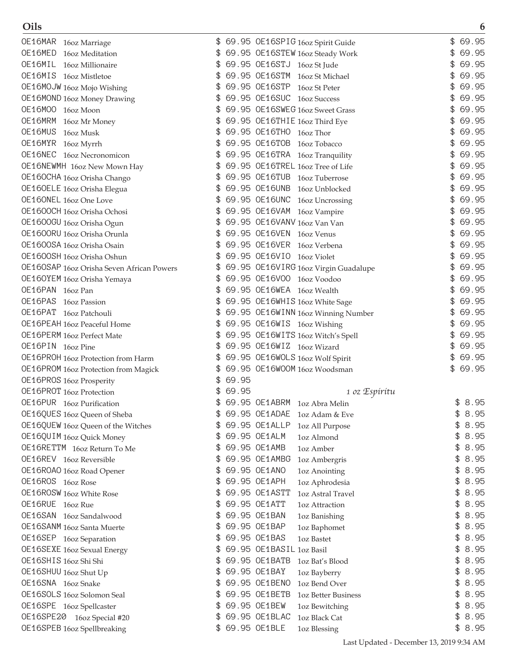| OE16MAR 16oz Marriage                                | 69.95 OE16SPIG 16oz Spirit Guide                                      | \$<br>69.95 |
|------------------------------------------------------|-----------------------------------------------------------------------|-------------|
| OE16MED<br>16oz Meditation                           | 69.95 OE16STEW 16oz Steady Work                                       | 69.95<br>£. |
| OE16MIL 16oz Millionaire                             | 69.95 OE16STJ 16oz St Jude<br>\$                                      | 69.95<br>\$ |
| OE16MIS 16oz Mistletoe                               | 69.95 OE16STM 16oz St Michael                                         | 69.95<br>\$ |
| OE16MOJW 16oz Mojo Wishing                           | 69.95 OE16STP<br>16oz St Peter                                        | 69.95<br>\$ |
| <b>OE16MOND</b> 16oz Money Drawing                   | 69.95 OE16SUC 16oz Success<br>\$                                      | 69.95<br>\$ |
| OE16MOO 16oz Moon                                    | 69.95 OE16SWEG 16oz Sweet Grass                                       | 69.95<br>\$ |
| OE16MRM<br>16oz Mr Money                             | 69.95 OE16THIE 16oz Third Eye                                         | 69.95<br>\$ |
| OE16MUS<br>16oz Musk                                 | 69.95 OE16THO 16oz Thor                                               | 69.95       |
| OE16MYR 16oz Myrrh                                   | 69.95 OE16TOB<br>\$<br>16oz Tobacco                                   | 69.95<br>\$ |
| OE16NEC 16oz Necronomicon                            | 69.95 OE16TRA 16oz Tranquility                                        | 69.95<br>\$ |
| OE16NEWMH 16oz New Mown Hay                          | 69.95 OE16TREL 16oz Tree of Life<br>\$                                | 69.95<br>\$ |
| OE160CHA 16oz Orisha Chango                          | 69.95 OE16TUB 16oz Tuberrose                                          | \$<br>69.95 |
| OE160ELE 16oz Orisha Elegua                          | 69.95 OE16UNB 16oz Unblocked                                          | 69.95<br>\$ |
| OE160NEL 16oz One Love                               | 69.95 OE16UNC 16oz Uncrossing                                         | 69.95<br>\$ |
| OE1600CH 16oz Orisha Ochosi                          | 69.95 OE16VAM 16oz Vampire                                            | 69.95<br>\$ |
| 0E1600GU 16oz Orisha Ogun                            | 69.95 OE16VANV 16oz Van Van                                           | 69.95<br>\$ |
| 0E1600RU 16oz Orisha Orunla                          | 69.95 OE16VEN 16oz Venus<br>\$                                        | 69.95<br>\$ |
| 0E1600SA 16oz Orisha Osain                           | 69.95 OE16VER 16oz Verbena                                            | 69.95<br>\$ |
| 0E1600SH 16oz Orisha Oshun                           | 69.95 OE16VIO 16oz Violet                                             | 69.95<br>\$ |
| OE160SAP 16oz Orisha Seven African Powers            | 69.95 OE16VIRG 16oz Virgin Guadalupe<br>\$                            | 69.95<br>\$ |
|                                                      | 69.95 OE16VOO 16oz Voodoo                                             | 69.95<br>\$ |
| OE160YEM 16oz Orisha Yemaya<br>OE16PAN 16oz Pan      | 69.95 OE16WEA 16oz Wealth                                             | 69.95       |
| OE16PAS                                              |                                                                       | 69.95       |
| 16oz Passion<br>OE16PAT 16oz Patchouli               | 69.95 OE16WHIS 16oz White Sage<br>\$                                  | 69.95<br>\$ |
|                                                      | 69.95 OE16WINN 16oz Winning Number<br>\$                              | 69.95<br>\$ |
| OE16PEAH 16oz Peaceful Home                          | 69.95 OE16WIS 16oz Wishing<br>69.95 OE16WITS 16oz Witch's Spell<br>\$ | 69.95<br>\$ |
| OE16PERM 16oz Perfect Mate<br>OE16PIN 16oz Pine      | 69.95 OE16WIZ 16oz Wizard                                             | 69.95<br>\$ |
|                                                      | \$                                                                    | 69.95<br>\$ |
| OE16PROH 16oz Protection from Harm                   | 69.95 OE16WOLS 16oz Wolf Spirit<br>69.95 OE16WOOM 16oz Woodsman       | \$<br>69.95 |
| OE16PROM 160z Protection from Magick                 | 69.95<br>\$                                                           |             |
| OE16PROS 16oz Prosperity<br>OE16PROT 16oz Protection | 69.95                                                                 |             |
|                                                      | 1 oz Espíritu<br>\$<br>69.95 OE1ABRM 1oz Abra Melin                   | \$8.95      |
| OE16PUR 16oz Purification                            | 69.95 OE1ADAE                                                         | \$<br>8.95  |
| OE16QUES 16oz Queen of Sheba                         | 1oz Adam & Eve<br>69.95 OE1ALLP                                       | 8.95<br>\$  |
| OE16QUEW 16oz Queen of the Witches                   | 1oz All Purpose                                                       | \$<br>8.95  |
| OE16QUIM 16oz Quick Money                            | 69.95 OE1ALM<br>\$<br>1oz Almond                                      | 8.95        |
| OE16RETTM 16oz Return To Me                          | 69.95 OE1AMB<br>\$<br>1oz Amber                                       | \$          |
| OE16REV 16oz Reversible                              | 69.95 OE1AMBG<br>\$<br>1oz Ambergris                                  | \$<br>8.95  |
| OE16ROAO 16oz Road Opener                            | 69.95 OE1ANO<br>\$<br>1oz Anointing                                   | \$<br>8.95  |
| OE16ROS 16oz Rose                                    | 69.95 OE1APH<br>\$<br>1oz Aphrodesia                                  | \$<br>8.95  |
| OE16ROSW 16oz White Rose                             | 69.95 OE1ASTT<br>1oz Astral Travel                                    | \$<br>8.95  |
| OE16RUE 16oz Rue                                     | 69.95 OE1ATT<br>1oz Attraction                                        | 8.95<br>\$  |
| OE16SAN 16oz Sandalwood                              | 69.95 OE1BAN<br>1oz Banishing                                         | \$<br>8.95  |
| OE16SANM 16oz Santa Muerte                           | 69.95 OE1BAP<br>\$<br>1oz Baphomet                                    | \$<br>8.95  |
| OE16SEP 16oz Separation                              | 69.95 OE1BAS<br>\$<br><b>1oz Bastet</b>                               | \$<br>8.95  |
| <b>OE16SEXE</b> 16oz Sexual Energy                   | 69.95 OE1BASIL 1oz Basil<br>\$                                        | \$<br>8.95  |
| OE16SHIS 16oz Shi Shi                                | 69.95 OE1BATB<br>\$<br>1oz Bat's Blood                                | \$<br>8.95  |
| OE16SHUU 16oz Shut Up                                | 69.95 OE1BAY<br>\$<br>1oz Bayberry                                    | \$<br>8.95  |
| OE16SNA 16oz Snake                                   | 69.95 OE1BENO<br>1oz Bend Over                                        | 8.95<br>\$  |
| OE16SOLS 16oz Solomon Seal                           | 69.95 OE1BETB<br>1oz Better Business                                  | 8.95<br>\$  |
| OE16SPE 16oz Spellcaster                             | 69.95 OE1BEW<br>\$<br>1oz Bewitching                                  | \$<br>8.95  |
| OE16SPE20 16oz Special #20                           | 69.95 OE1BLAC<br>\$<br>1oz Black Cat                                  | \$<br>8.95  |
| OE16SPEB 16oz Spellbreaking                          | 69.95 OE1BLE<br>1oz Blessing                                          | \$8.95      |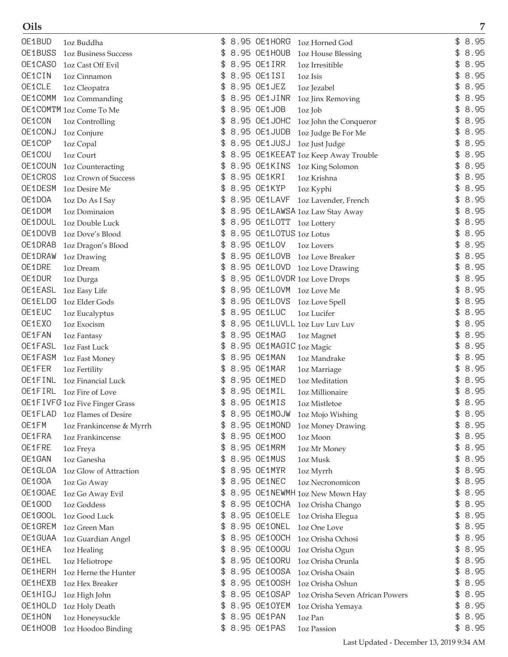| Oils    |                                |    |                          |                                     |            | 7 |
|---------|--------------------------------|----|--------------------------|-------------------------------------|------------|---|
| OE1BUD  | 1oz Buddha                     | \$ |                          | 8.95 OE1HORG 1oz Horned God         | \$<br>8.95 |   |
| OE1BUSS | <b>1oz Business Success</b>    | \$ | 8.95 OE1HOUB             | <b>1oz House Blessing</b>           | \$<br>8.95 |   |
| OE1CASO | 1oz Cast Off Evil              | \$ | 8.95 OE1IRR              | 1oz Irresitible                     | \$<br>8.95 |   |
| OE1CIN  | 1oz Cinnamon                   | \$ | 8.95 OE1ISI              | 1oz Isis                            | \$<br>8.95 |   |
| OE1CLE  | 1oz Cleopatra                  | \$ | 8.95 OE1JEZ              | 1oz Jezabel                         | \$<br>8.95 |   |
| OE1COMM | 1oz Commanding                 |    | 8.95 OE1JINR             | 1oz Jinx Removing                   | \$<br>8.95 |   |
|         | OE1COMTM 1oz Come To Me        |    | 8.95 OE1JOB              | 1oz Job                             | \$<br>8.95 |   |
| OE1CON  | 1oz Controlling                | \$ | 8.95 OE1JOHC             | 1oz John the Conqueror              | \$<br>8.95 |   |
| OE1CONJ | 1oz Conjure                    | \$ | 8.95 OE1JUDB             | 1oz Judge Be For Me                 | \$<br>8.95 |   |
| OE1COP  | 1oz Copal                      | \$ | 8.95 OE1JUSJ             | 1oz Just Judge                      | \$<br>8.95 |   |
| OE1COU  | 1oz Court                      | \$ |                          | 8.95 OE1KEEAT 1oz Keep Away Trouble | \$<br>8.95 |   |
| OE1COUN | 1oz Counteracting              | \$ |                          | 8.95 OE1KINS 1oz King Solomon       | \$<br>8.95 |   |
| OE1CROS | <b>1oz Crown of Success</b>    | \$ | 8.95 OE1KRI              | 1oz Krishna                         | 8.95       |   |
| OE1DESM | 1oz Desire Me                  |    | 8.95 OE1KYP              | 1oz Kyphi                           | 8.95       |   |
| OE1DOA  | 1oz Do As I Say                | \$ | 8.95 OE1LAVF             | 1oz Lavender, French                | \$<br>8.95 |   |
| OE1DOM  | 1oz Dominaion                  | \$ |                          | 8.95 OE1LAWSA 1oz Law Stay Away     | \$<br>8.95 |   |
| OE1DOUL | 1oz Double Luck                | \$ | 8.95 OE1LOTT 1oz Lottery |                                     | \$<br>8.95 |   |
| OE1DOVB | 1oz Dove's Blood               | \$ | 8.95 OE1LOTUS 1oz Lotus  |                                     | \$<br>8.95 |   |
| OE1DRAB | 1oz Dragon's Blood             | \$ | 8.95 OE1LOV              | 1oz Lovers                          | \$<br>8.95 |   |
| OE1DRAW | 1oz Drawing                    | \$ | 8.95 OE1LOVB             | 1oz Love Breaker                    | \$<br>8.95 |   |
| OE1DRE  | 1oz Dream                      | \$ |                          | 8.95 OE1LOVD 1oz Love Drawing       | \$<br>8.95 |   |
| OE1DUR  | 1oz Durga                      |    |                          | 8.95 OE1LOVDR 1oz Love Drops        | \$<br>8.95 |   |
| OE1EASL | 1oz Easy Life                  | \$ |                          | 8.95 OE1LOVM 1oz Love Me            | \$<br>8.95 |   |
| OE1ELDG | 1oz Elder Gods                 | \$ | 8.95 OE1LOVS             | 1oz Love Spell                      | \$<br>8.95 |   |
| OE1EUC  | 1oz Eucalyptus                 | \$ | 8.95 OE1LUC              | 1oz Lucifer                         | \$<br>8.95 |   |
| OE1EXO  | 1oz Exocism                    | \$ |                          | 8.95 OE1LUVLL 1oz Luv Luv Luv       | \$<br>8.95 |   |
| OE1FAN  | 1oz Fantasy                    | \$ | 8.95 OE1MAG              | 1oz Magnet                          | \$<br>8.95 |   |
| OE1FASL | 1oz Fast Luck                  | \$ | 8.95 OE1MAGIC 1oz Magic  |                                     | 8.95       |   |
| OE1FASM | 1oz Fast Money                 |    | 8.95 OE1MAN              | 1oz Mandrake                        | 8.95       |   |
| OE1FER  | 1oz Fertility                  | \$ | 8.95 OE1MAR              | 1oz Marriage                        | \$<br>8.95 |   |
| OE1FINL | 1oz Financial Luck             | \$ | 8.95 OE1MED              | 1oz Meditation                      | \$<br>8.95 |   |
| OE1FIRL | 1oz Fire of Love               | \$ | 8.95 OE1MIL              | 1oz Millionaire                     | \$<br>8.95 |   |
|         | OE1FIVFG 1oz Five Finger Grass |    | 8.95 OE1MIS              | 1oz Mistletoe                       | \$<br>8.95 |   |
| OE1FLAD | 1oz Flames of Desire           | S  | 8.95 OE1MOJW             | 1oz Mojo Wishing                    | \$<br>8.95 |   |
| OE1FM   | 1oz Frankincense & Myrrh       | \$ | 8.95 OE1MOND             | 1oz Money Drawing                   | \$<br>8.95 |   |
| OE1FRA  | 1oz Frankincense               | \$ | 8.95 OE1MOO              | 1oz Moon                            | \$<br>8.95 |   |
| OE1FRE  | 1oz Freya                      | \$ | 8.95 OE1MRM              | 1oz Mr Money                        | \$<br>8.95 |   |
| OE1GAN  | 1oz Ganesha                    | \$ | 8.95 OE1MUS              | 1oz Musk                            | \$<br>8.95 |   |
| OE1GLOA | 1oz Glow of Attraction         | \$ | 8.95 OE1MYR              | 1oz Myrrh                           | \$<br>8.95 |   |
| OE1GOA  | 1oz Go Away                    | \$ | 8.95 OE1NEC              | 1oz Necronomicon                    | \$<br>8.95 |   |
| OE1GOAE | 1oz Go Away Evil               | \$ |                          | 8.95 OE1NEWMH 1oz New Mown Hay      | \$<br>8.95 |   |
| OE1GOD  | 1oz Goddess                    | \$ |                          | 8.95 OE1OCHA 1oz Orisha Chango      | \$<br>8.95 |   |
| OE1GOOL | 1oz Good Luck                  | \$ | 8.95 OE10ELE             | 1oz Orisha Elegua                   | \$<br>8.95 |   |
| OE1GREM | 1oz Green Man                  | \$ | 8.95 OE1ONEL             | 1oz One Love                        | \$<br>8.95 |   |
| OE1GUAA | 1oz Guardian Angel             | \$ | 8.95 OE100CH             | 1oz Orisha Ochosi                   | \$<br>8.95 |   |
| OE1HEA  | 1oz Healing                    | \$ | 8.95 OE100GU             | 1oz Orisha Ogun                     | \$<br>8.95 |   |
| OE1HEL  | 1oz Heliotrope                 | \$ | 8.95 OE100RU             | 1oz Orisha Orunla                   | \$<br>8.95 |   |
| OE1HERH | 1oz Herne the Hunter           | \$ | 8.95 OE100SA             | 1oz Orisha Osain                    | \$<br>8.95 |   |
| OE1HEXB | 1oz Hex Breaker                | \$ | 8.95 OE100SH             | 1oz Orisha Oshun                    | \$<br>8.95 |   |
| OE1HIGJ | 1oz High John                  | \$ | 8.95 OE10SAP             | 1oz Orisha Seven African Powers     | \$<br>8.95 |   |
| OE1HOLD | 1oz Holy Death                 | \$ | 8.95 OE1OYEM             | 1oz Orisha Yemaya                   | \$<br>8.95 |   |
| OE1HON  | 1oz Honeysuckle                | \$ | 8.95 OE1PAN              | 1oz Pan                             | \$<br>8.95 |   |
| OE1HOOB | 1oz Hoodoo Binding             | \$ | 8.95 OE1PAS              | 1oz Passion                         | \$<br>8.95 |   |
|         |                                |    |                          |                                     |            |   |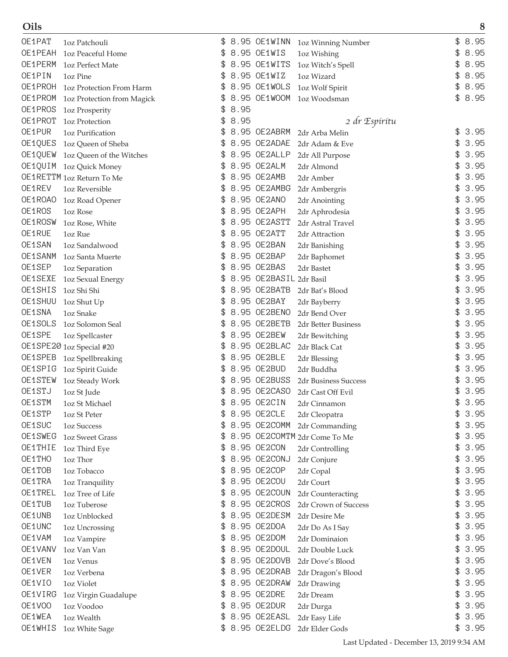| Oils    |                            |     |      |                         |                              | 8          |
|---------|----------------------------|-----|------|-------------------------|------------------------------|------------|
| OE1PAT  | 1oz Patchouli              | \$  |      | 8.95 OE1WINN            | 1oz Winning Number           | 8.95<br>\$ |
| OE1PEAH | 1oz Peaceful Home          | \$  |      | 8.95 OE1WIS             | 1oz Wishing                  | \$<br>8.95 |
| OE1PERM | 1oz Perfect Mate           | \$  |      | 8.95 OE1WITS            | 1oz Witch's Spell            | \$<br>8.95 |
| OE1PIN  | 1oz Pine                   | \$  |      | 8.95 OE1WIZ             | 1oz Wizard                   | \$<br>8.95 |
| OE1PROH | 1oz Protection From Harm   | \$  |      | 8.95 OE1WOLS            | 1oz Wolf Spirit              | \$<br>8.95 |
| OE1PROM | 1oz Protection from Magick |     |      | 8.95 OE1WOOM            | 1oz Woodsman                 | \$<br>8.95 |
| OE1PROS | 1oz Prosperity             | \$  | 8.95 |                         |                              |            |
| OE1PROT | 1oz Protection             | \$  | 8.95 |                         | 2 dr Espíritu                |            |
| OE1PUR  | 1oz Purification           | \$  |      | 8.95 OE2ABRM            | 2dr Arba Melin               | \$<br>3.95 |
| OE1QUES | 1oz Queen of Sheba         | \$  |      | 8.95 OE2ADAE            | 2dr Adam & Eve               | \$<br>3.95 |
| OE1QUEW | 1oz Queen of the Witches   | \$  |      | 8.95 OE2ALLP            | 2dr All Purpose              | \$<br>3.95 |
| OE1QUIM | 1oz Quick Money            | \$  |      | 8.95 OE2ALM             | 2dr Almond                   | \$<br>3.95 |
|         | OE1RETTM 1oz Return To Me  |     |      | 8.95 OE2AMB             | 2dr Amber                    | 3.95       |
| OE1REV  | 1oz Reversible             |     |      | 8.95 OE2AMBG            | 2dr Ambergris                | 3.95       |
| OE1ROAO | 1oz Road Opener            | \$  |      | 8.95 OE2ANO             | 2dr Anointing                | 3.95<br>\$ |
| OE1ROS  | <b>1oz Rose</b>            | \$  |      | 8.95 OE2APH             | 2dr Aphrodesia               | 3.95<br>\$ |
| OE1ROSW | 1oz Rose, White            | \$  |      | 8.95 OE2ASTT            | 2dr Astral Travel            | \$<br>3.95 |
| OE1RUE  | 1oz Rue                    | \$  |      | 8.95 OE2ATT             | 2dr Attraction               | \$<br>3.95 |
| OE1SAN  | 1oz Sandalwood             | \$  |      | 8.95 OE2BAN             | 2dr Banishing                | \$<br>3.95 |
| OE1SANM | 1oz Santa Muerte           |     |      | 8.95 OE2BAP             | 2dr Baphomet                 | \$<br>3.95 |
| OE1SEP  | 1oz Separation             | \$  |      | 8.95 OE2BAS             | 2dr Bastet                   | 3.95<br>\$ |
| OE1SEXE | 1oz Sexual Energy          |     |      | 8.95 OE2BASIL 2dr Basil |                              | 3.95<br>\$ |
| OE1SHIS | 1oz Shi Shi                | \$  |      | 8.95 OE2BATB            | 2dr Bat's Blood              | 3.95<br>\$ |
| OE1SHUU | 1oz Shut Up                | \$  |      | 8.95 OE2BAY             | 2dr Bayberry                 | \$<br>3.95 |
| OE1SNA  | 1oz Snake                  | \$  |      | 8.95 OE2BENO            | 2dr Bend Over                | \$<br>3.95 |
| OE1SOLS | 1oz Solomon Seal           | \$  |      | 8.95 OE2BETB            | 2dr Better Business          | \$<br>3.95 |
| OE1SPE  | 1oz Spellcaster            | \$  |      | 8.95 OE2BEW             | 2dr Bewitching               | \$<br>3.95 |
|         | OE1SPE20 1oz Special #20   |     |      | 8.95 OE2BLAC            | 2dr Black Cat                | 3.95       |
| OE1SPEB | 1oz Spellbreaking          |     |      | 8.95 OE2BLE             | 2dr Blessing                 | 3.95<br>\$ |
| OE1SPIG | 1oz Spirit Guide           | \$  |      | 8.95 OE2BUD             | 2dr Buddha                   | 3.95<br>\$ |
| OE1STEW | 1oz Steady Work            |     |      | 8.95 OE2BUSS            | 2dr Business Success         | 3.95<br>\$ |
| OE1STJ  | 1oz St Jude                | \$  |      | 8.95 OE2CASO            | 2dr Cast Off Evil            | \$<br>3.95 |
| OE1STM  | 1oz St Michael             |     |      | 8.95 OE2CIN             | 2dr Cinnamon                 | \$<br>3.95 |
| OE1STP  | 1oz St Peter               | \$. |      | 8.95 OE2CLE             | 2dr Cleopatra                | \$<br>3.95 |
| OE1SUC  | <b>1oz Success</b>         | \$  |      | 8.95 OE2COMM            | 2dr Commanding               | 3.95<br>\$ |
| OE1SWEG | <b>1oz Sweet Grass</b>     | \$  |      |                         | 8.95 OE2COMTM 2dr Come To Me | \$<br>3.95 |
| OE1THIE | 1oz Third Eye              | \$  |      | 8.95 OE2CON             | 2dr Controlling              | \$<br>3.95 |
| OE1THO  | 1oz Thor                   | \$  |      | 8.95 OE2CONJ            | 2dr Conjure                  | 3.95<br>\$ |
| OE1TOB  | 1oz Tobacco                | \$  |      | 8.95 OE2COP             | 2dr Copal                    | 3.95<br>\$ |
| OE1TRA  | 1oz Tranquility            | \$. |      | 8.95 OE2COU             | 2dr Court                    | 3.95<br>\$ |
| OE1TREL | 1oz Tree of Life           | \$  |      | 8.95 OE2COUN            | 2dr Counteracting            | 3.95<br>\$ |
| OE1TUB  | 1oz Tuberose               | \$  |      | 8.95 OE2CROS            | 2dr Crown of Success         | 3.95<br>\$ |
| OE1UNB  | 1oz Unblocked              | \$  |      | 8.95 OE2DESM            | 2dr Desire Me                | \$<br>3.95 |
| OE1UNC  | 1oz Uncrossing             | \$  |      | 8.95 OE2DOA             | 2dr Do As I Say              | \$<br>3.95 |
| OE1VAM  | 1oz Vampire                | \$  |      | 8.95 OE2DOM             | 2dr Dominaion                | \$<br>3.95 |
| OE1VANV | 1oz Van Van                |     |      | 8.95 OE2DOUL            | 2dr Double Luck              | 3.95<br>\$ |
| OE1VEN  | 1oz Venus                  |     |      | 8.95 OE2DOVB            | 2dr Dove's Blood             | 3.95<br>\$ |
| OE1VER  | 1oz Verbena                |     |      | 8.95 OE2DRAB            | 2dr Dragon's Blood           | 3.95<br>\$ |
| OE1VIO  | 1oz Violet                 | £.  |      | 8.95 OE2DRAW            | 2dr Drawing                  | 3.95<br>\$ |
| OE1VIRG | 1oz Virgin Guadalupe       | \$  |      | 8.95 OE2DRE             | 2dr Dream                    | 3.95<br>\$ |
| OE1VOO  | 1oz Voodoo                 | \$  |      | 8.95 OE2DUR             | 2dr Durga                    | \$<br>3.95 |
| OE1WEA  | 1oz Wealth                 | \$  |      | 8.95 OE2EASL            | 2dr Easy Life                | \$<br>3.95 |
| OE1WHIS | 1oz White Sage             |     |      | \$ 8.95 OE2ELDG         | 2dr Elder Gods               | \$3.95     |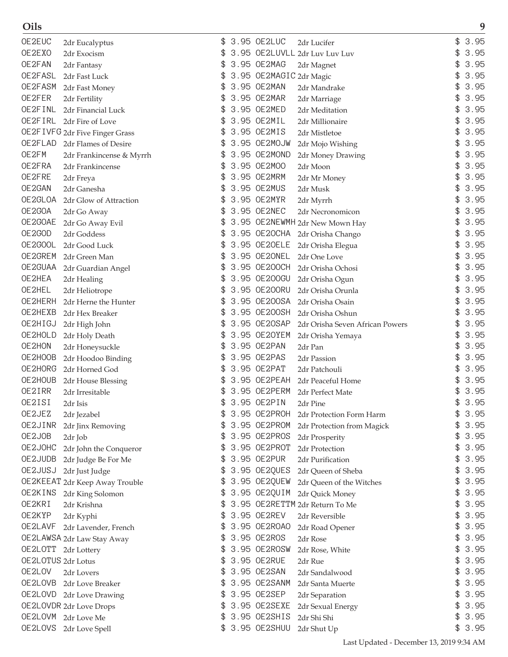| OE2EUC             | 2dr Eucalyptus                 |    | 3.95 OE2LUC             | 2dr Lucifer                     | 3.95       |
|--------------------|--------------------------------|----|-------------------------|---------------------------------|------------|
| OE2EXO             | 2dr Exocism                    | \$ |                         | 3.95 OE2LUVLL 2dr Luv Luv Luv   | 3.95       |
| OE2FAN             | 2dr Fantasy                    | \$ | 3.95 OE2MAG             | 2dr Magnet                      | 3.95       |
| OE2FASL            | 2dr Fast Luck                  | \$ | 3.95 OE2MAGIC 2dr Magic |                                 | \$<br>3.95 |
| OE2FASM            | 2dr Fast Money                 | \$ | 3.95 OE2MAN             | 2dr Mandrake                    | 3.95       |
| OE2FER             | 2dr Fertility                  |    | 3.95 OE2MAR             | 2dr Marriage                    | 3.95       |
| OE2FINL            | 2dr Financial Luck             |    | 3.95 OE2MED             | 2dr Meditation                  | 3.95       |
| OE2FIRL            | 2dr Fire of Love               |    | 3.95 OE2MIL             | 2dr Millionaire                 | 3.95       |
|                    | OE2FIVFG 2dr Five Finger Grass | \$ | 3.95 OE2MIS             | 2dr Mistletoe                   | 3.95       |
| OE2FLAD            | 2dr Flames of Desire           | \$ | 3.95 OE2MOJW            | 2dr Mojo Wishing                | 3.95       |
| OE2FM              | 2dr Frankincense & Myrrh       | \$ | 3.95 OE2MOND            | 2dr Money Drawing               | 3.95       |
| OE2FRA             | 2dr Frankincense               | \$ | 3.95 OE2MOO             | 2dr Moon                        | 3.95       |
| OE2FRE             | 2dr Freya                      | \$ | 3.95 OE2MRM             | 2dr Mr Money                    | 3.95       |
| OE2GAN             | 2dr Ganesha                    |    | 3.95 OE2MUS             | 2dr Musk                        | 3.95       |
| OE2GLOA            | 2dr Glow of Attraction         |    | 3.95 OE2MYR             | 2dr Myrrh                       | 3.95       |
| OE2GOA             | 2dr Go Away                    |    | 3.95 OE2NEC             | 2dr Necronomicon                | 3.95       |
| OE2GOAE            | 2dr Go Away Evil               | \$ |                         | 3.95 OE2NEWMH 2dr New Mown Hay  | 3.95       |
| OE2GOD             | 2dr Goddess                    | \$ | 3.95 OE2OCHA            | 2dr Orisha Chango               | 3.95       |
| OE2GOOL            | 2dr Good Luck                  | \$ | 3.95 OE20ELE            | 2dr Orisha Elegua               | \$<br>3.95 |
| OE2GREM            | 2dr Green Man                  |    | 3.95 OE2ONEL            | 2dr One Love                    | 3.95       |
| OE2GUAA            | 2dr Guardian Angel             | \$ | 3.95 OE200CH            | 2dr Orisha Ochosi               | 3.95       |
| OE2HEA             | 2dr Healing                    |    | 3.95 OE200GU            | 2dr Orisha Ogun                 | 3.95       |
| OE2HEL             | 2dr Heliotrope                 |    | 3.95 OE200RU            | 2dr Orisha Orunla               | 3.95       |
| OE2HERH            | 2dr Herne the Hunter           | \$ | 3.95 OE200SA            | 2dr Orisha Osain                | 3.95       |
| OE2HEXB            | 2dr Hex Breaker                | \$ | 3.95 OE200SH            | 2dr Orisha Oshun                | 3.95       |
| OE2HIGJ            |                                | \$ | 3.95 OE2OSAP            |                                 | 3.95       |
| OE2HOLD            | 2dr High John                  | \$ | 3.95 OE20YEM            | 2dr Orisha Seven African Powers | 3.95       |
| OE2HON             | 2dr Holy Death                 | \$ | 3.95 OE2PAN             | 2dr Orisha Yemaya               | 3.95       |
| OE2HOOB            | 2dr Honeysuckle                |    | 3.95 OE2PAS             | 2dr Pan                         | 3.95       |
| OE2HORG            | 2dr Hoodoo Binding             |    | 3.95 OE2PAT             | 2dr Passion                     | 3.95       |
| OE2HOUB            | 2dr Horned God                 |    | 3.95 OE2PEAH            | 2dr Patchouli                   | 3.95       |
| OE2IRR             | 2dr House Blessing             |    | 3.95 OE2PERM            | 2dr Peaceful Home               | 3.95       |
| OE2ISI             | 2dr Irresitable                |    | 3.95 OE2PIN             | 2dr Perfect Mate                | \$<br>3.95 |
| OE2JEZ             | 2dr Isis                       | \$ |                         | 2dr Pine                        |            |
|                    | 2dr Jezabel                    | \$ | 3.95 OE2PROH            | 2dr Protection Form Harm        | \$<br>3.95 |
| OE2JINR            | 2dr Jinx Removing              |    | 3.95 OE2PROM            | 2dr Protection from Magick      | 3.95       |
| OE2JOB             | 2dr Job                        | \$ | 3.95 OE2PROS            | 2dr Prosperity                  | \$<br>3.95 |
| OE2JOHC            | 2dr John the Conqueror         | \$ | 3.95 OE2PROT            | 2dr Protection                  | \$<br>3.95 |
| OE2JUDB            | 2dr Judge Be For Me            | \$ | 3.95 OE2PUR             | 2dr Purification                | \$<br>3.95 |
| OE2JUSJ            | 2dr Just Judge                 | \$ | 3.95 OE2QUES            | 2dr Queen of Sheba              | 3.95       |
|                    | OE2KEEAT 2dr Keep Away Trouble | \$ | 3.95 OE2QUEW            | 2dr Queen of the Witches        | 3.95       |
| OE2KINS            | 2dr King Solomon               | \$ | 3.95 OE2QUIM            | 2dr Quick Money                 | 3.95       |
| OE2KRI             | 2dr Krishna                    |    |                         | 3.95 OE2RETTM 2dr Return To Me  | 3.95       |
| OE2KYP             | 2dr Kyphi                      | \$ | 3.95 OE2REV             | 2dr Reversible                  | 3.95       |
| OE2LAVF            | 2dr Lavender, French           | \$ | 3.95 OE2ROAO            | 2dr Road Opener                 | \$<br>3.95 |
|                    | OE2LAWSA 2dr Law Stay Away     | \$ | 3.95 OE2ROS             | 2dr Rose                        | \$<br>3.95 |
|                    | OE2LOTT 2dr Lottery            | \$ | 3.95 OE2ROSW            | 2dr Rose, White                 | \$<br>3.95 |
| OE2LOTUS 2dr Lotus |                                | \$ | 3.95 OE2RUE             | 2dr Rue                         | 3.95       |
| 0E2LOV             | 2dr Lovers                     | \$ | 3.95 OE2SAN             | 2dr Sandalwood                  | 3.95       |
| OE2LOVB            | 2dr Love Breaker               |    | 3.95 OE2SANM            | 2dr Santa Muerte                | 3.95       |
|                    | OE2LOVD 2dr Love Drawing       | \$ | 3.95 OE2SEP             | 2dr Separation                  | 3.95       |
|                    | OE2LOVDR 2dr Love Drops        | \$ | 3.95 OE2SEXE            | 2dr Sexual Energy               | \$<br>3.95 |
|                    | OE2LOVM 2dr Love Me            | \$ | 3.95 OE2SHIS            | 2dr Shi Shi                     | \$<br>3.95 |
| OE2LOVS            | 2dr Love Spell                 |    | 3.95 OE2SHUU            | 2dr Shut Up                     | \$<br>3.95 |